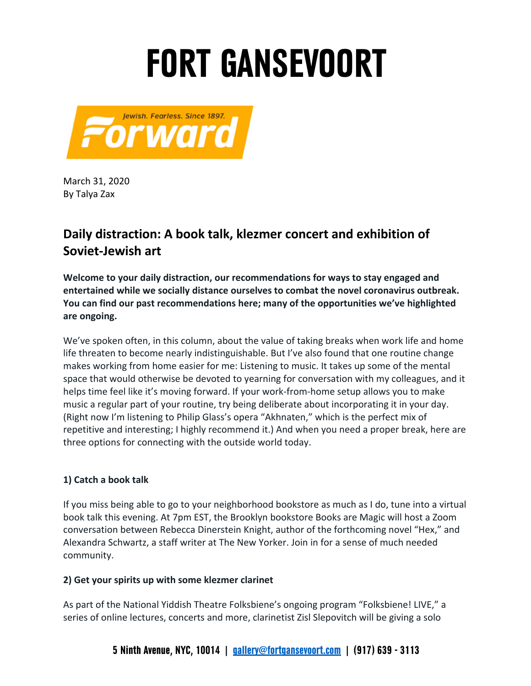## **FORT GANSEVOORT**



 March 31, 2020 By Talya Zax

### **Daily distraction: A book talk, klezmer concert and exhibition of Soviet-Jewish art**

 **entertained while we socially distance ourselves to combat the novel coronavirus outbreak. Welcome to your daily distraction, our recommendations for ways to stay engaged and You can find our past recommendations here; many of the opportunities we've highlighted are ongoing.** 

 We've spoken often, in this column, about the value of taking breaks when work life and home life threaten to become nearly indistinguishable. But I've also found that one routine change makes working from home easier for me: Listening to music. It takes up some of the mental space that would otherwise be devoted to yearning for conversation with my colleagues, and it helps time feel like it's moving forward. If your work-from-home setup allows you to make music a regular part of your routine, try being deliberate about incorporating it in your day. (Right now I'm listening to Philip Glass's opera "Akhnaten," which is the perfect mix of repetitive and interesting; I highly recommend it.) And when you need a proper break, here are three options for connecting with the outside world today.

#### **1) Catch a book talk**

 If you miss being able to go to your neighborhood bookstore as much as I do, tune into a virtual book talk this evening. At 7pm EST, the Brooklyn bookstore Books are Magic will host a Zoom conversation between Rebecca Dinerstein Knight, author of the forthcoming novel "Hex," and Alexandra Schwartz, a staff writer at The New Yorker. Join in for a sense of much needed community.

#### **2) Get your spirits up with some klezmer clarinet**

 As part of the National Yiddish Theatre Folksbiene's ongoing program "Folksbiene! LIVE," a series of online lectures, concerts and more, clarinetist Zisl Slepovitch will be giving a solo